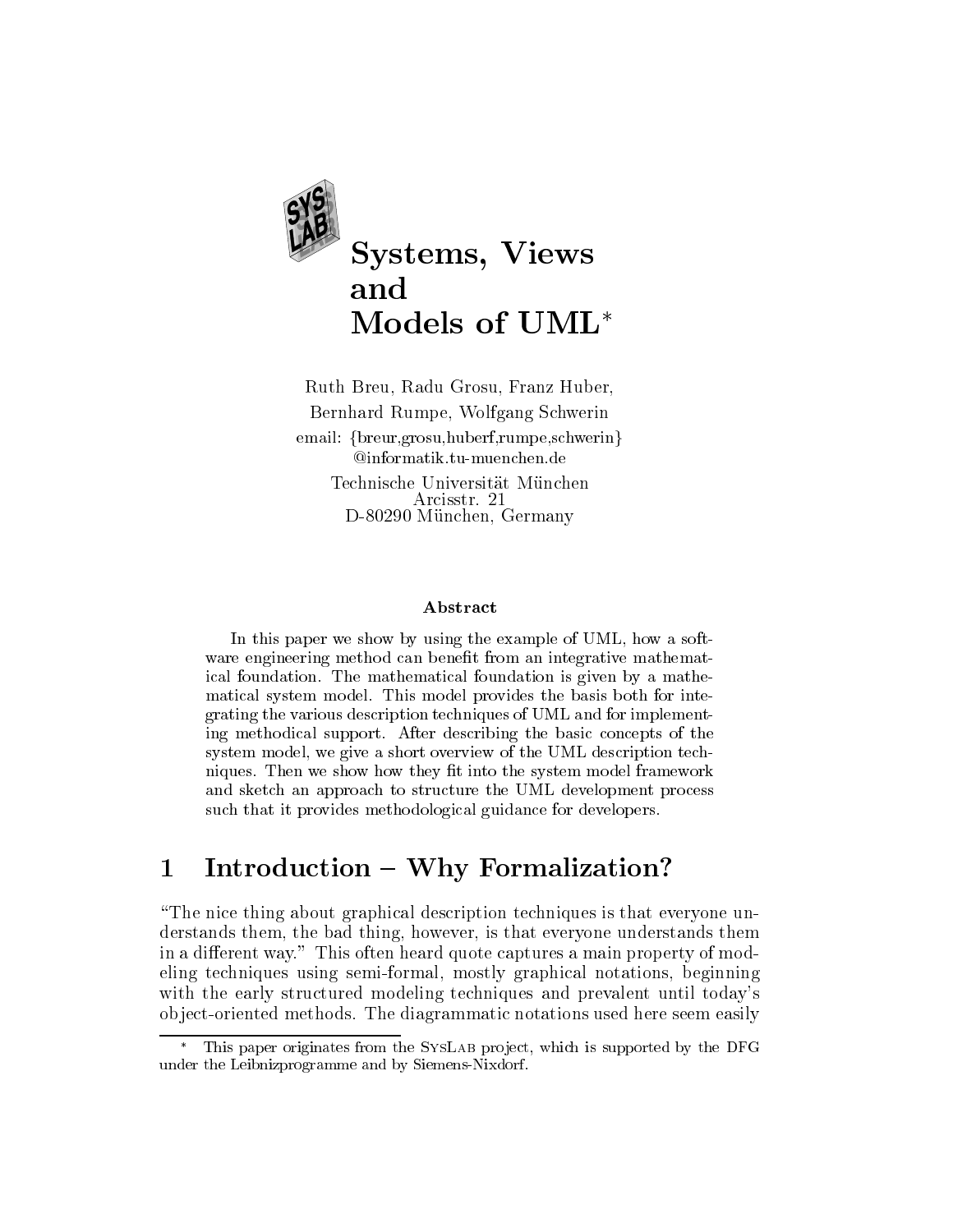

ruth Breusen, ruth and company is recently required. Bernhard Rumpe- Wolfgang Schwerin email: {breur,grosu,huberf,rumpe,schwerin} **@informatik.tu-muenchen.de** Technische Universität München design and the contract of the contract of the contract of the contract of the contract of the contract of the

# Abstract

In this paper we show by using the example of UML, how a software engineering method can benefit from an integrative mathematical foundation The mathematical foundation is given by a mathe matical system model. This model provides the basis both for integrating the various description techniques of UML and for implement ing methodical support. After describing the basic concepts of the system model, we give a short overview of the UML description techniques. Then we show how they fit into the system model framework and sketch an approach to structure the UML development process such that it provides methodological guidance for developers

# 1 International Control of the Company of the Control of the Control of the Control of the Control of the Control of the Control of the Control of the Control of the Control of the Control of the Control of the Control of th

The nice thing about graphical description techniques is that everyone un derstands them- the bad thing- however- is that everyone understands them in a different way." This often heard quote captures a main property of modeling techniques using semiformal- mostly graphical notations- beginning with the early structured modeling techniques and prevalent until today's object-oriented methods. The diagrammatic notations used here seem easily

This paper originates from the SysLAB project, which is supported by the DFG  $\,$ under the Leibnizprogramme and by Siemens-Nixdorf.

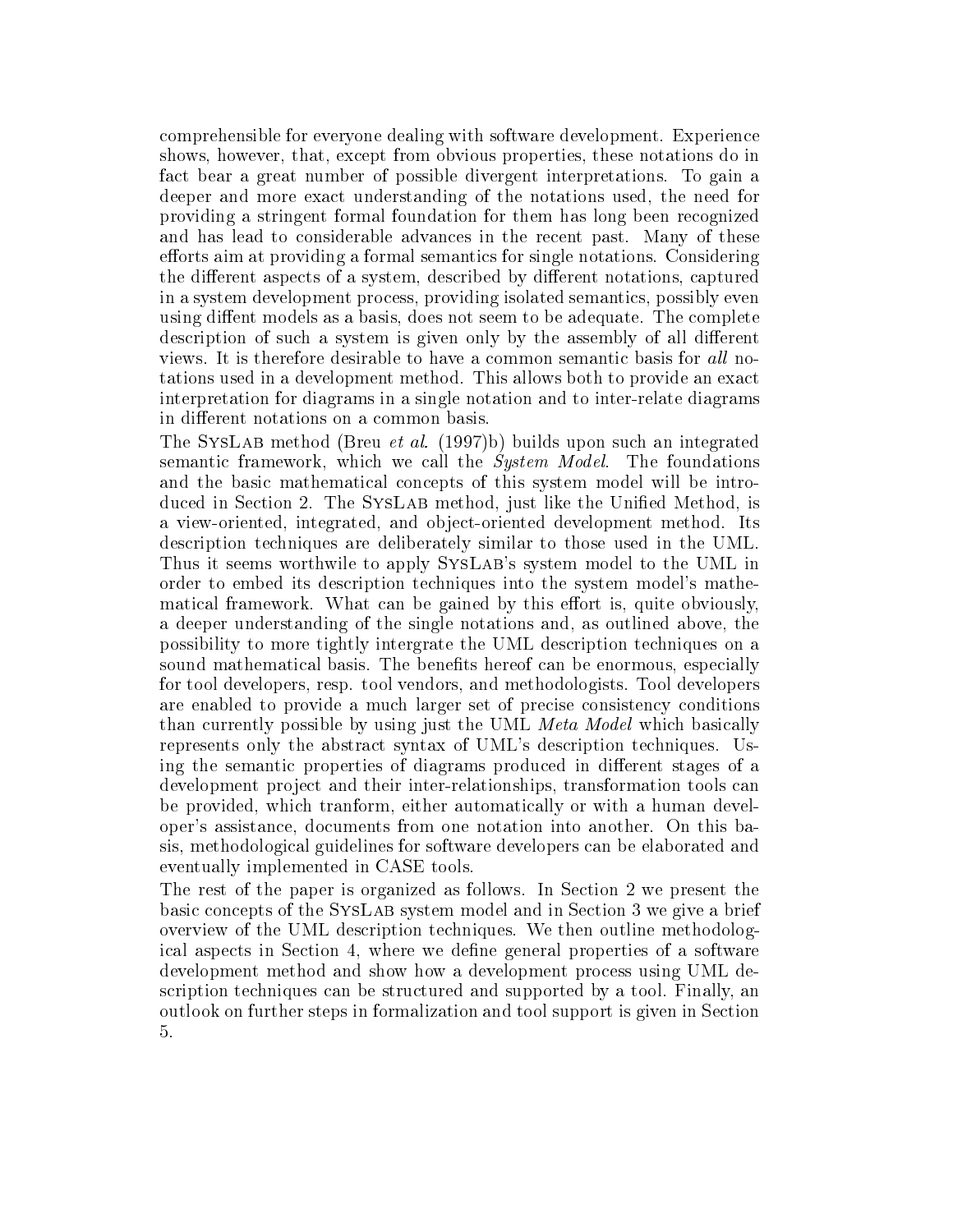comprehensible for everyone dealing with software development. Experience shows-that-induced-control that-the-control that-induced-control the-the-control that-in-the-control thatfact bear a great number of possible divergent interpretations To gain a deeper and more exact understanding of the notations used- the need for providing a stringent formal foundation for them has long been recognized and has lead to considerable advances in the recent past. Many of these efforts aim at providing a formal semantics for single notations. Considering the distribution of a system-distribution of a system-distribution of the system-distribution of the contract o in a system development providing providing isolated semantics- providing providing isolated semanticsusing dient models as a basis- does not seem to be adequate The complete description of such a system is given only by the assembly of all different views. It is therefore desirable to have a common semantic basis for all notations used in a development method. This allows both to provide an exact interpretation for diagrams in a single notation and to interrelate diagrams in different notations on a common basis.

the System method Breun et al-builds upon such an integrated and integrated and integrated and semantic framework-the foundations  $\mathcal{L}$  the system Model The foundations  $\mathcal{L}$ and the basic mathematical concepts of this system model will be intro duced in Section 2. Section 1999, the System and Methods and Methods and Methods and Methods and Methods and M a vieworiented- integrated- and ob jectoriented development method Its description techniques are deliberately similar to those used in the UML Thus it seems worthwile to apply SYSLAB's system model to the UML in order to embed its description techniques into the system model's mathematical framework work which is a gained by this extent is a quite observed by a deeper understanding of the single notations and  $\alpha$  in the single above  $\alpha$ possibility to more tightly intergrate the UML description techniques on a source mathematical basis The basis The benefits of cancer can be enormously the benefit  $\sim$ for tool developers- resp tool vendors- and methodologists Tool developers are enabled to provide a much larger set of precise consistency conditions than currently possible by using just the UML Meta Model which basically represents only the abstract syntax of UML's description techniques. Using the semantic properties of diagrams produced in different stages of a development project and their interrelationships-produced their interrelationshipsbe provided- which tranform- either automatically or with a human devel opers assistance- documents from one notation into another On this ba sis-is-al dological guidelines for software developers can be elaborated and be elaborated and be elaborated a eventually implemented in CASE tools

The rest of the paper is organized as follows. In Section 2 we present the basic concepts of the SYSLAB system model and in Section 3 we give a brief overview of the UML description techniques We then outline methodolog ical aspects in Section - where we dene general properties of a software development method and show how a development process using UML de scription techniques can be structured and supported by a tool Finally-Control Finally-Control Finally-Control outlook on further steps in formalization and tool support is given in Section 5.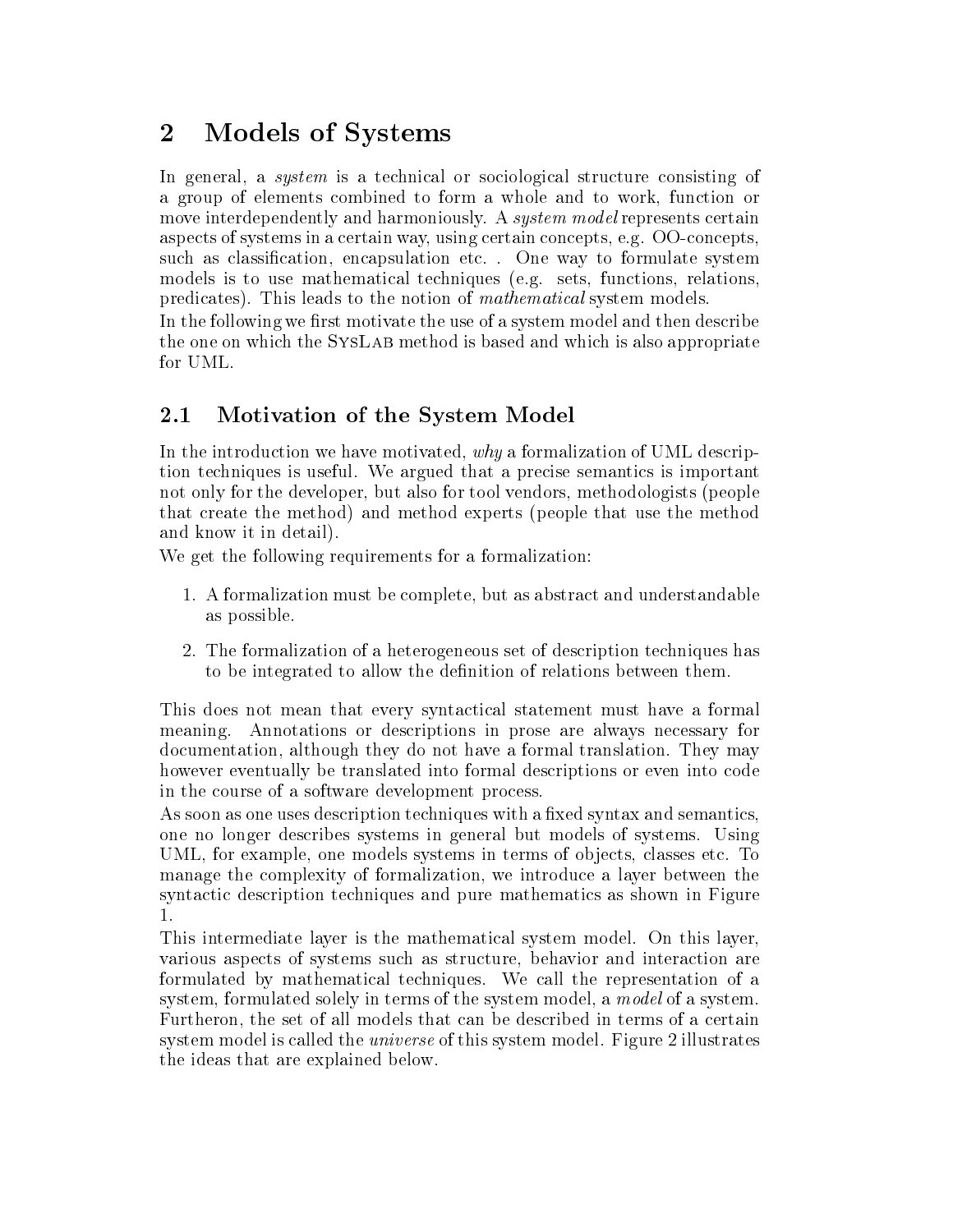## Models of Systems  $\overline{2}$

In general- a system is a technical or sociological structure consisting of a group of elements combined to form a whole and to whole and to workmove interdependently and harmoniously. A *system model* represents certain aspects in a certain way- was certain way- the certain concepts-part of the conceptssuch as construction-intervalsed as classication of the contraction experience systems of the contraction of the contraction of the contraction of the contraction of the contraction of the contraction of the contraction of models is to use mathematical techniques eg sets- functions- relationspredicates). This leads to the notion of *mathematical* system models.

In the following we first motivate the use of a system model and then describe the one on which the SysLab method is based and which is also appropriate for UML

## $2.1$ Motivation of the System Model

in the introduction we have motivated and the integration of UML description of UML description of UML descrip tion techniques is useful We argued that a precise semantics is important not only for the developer- but also for tool vendors- methodologists people that create the method) and method experts (people that use the method and know it in detail

We get the following requirements for a formalization:

- a formalization must be completed to the complete and understandable and understandable complete that the complete as possible
- The formalization of a heterogeneous set of description techniques has to be integrated to allow the definition of relations between them.

This does not mean that every syntactical statement must have a formal meaning. Annotations or descriptions in prose are always necessary for documentation-documentation-documentation-documentation-documentation-documentation-documentation-documentatio however eventually be translated into formal descriptions or even into code in the course of a software development process

As soon as one uses description techniques with a fixed syntax and semantics. one no longer describes systems in general but models of systems. Using UML- for example- one models systems in terms of objects- classes etc To manage the complexity of formalization- we introduce a layer between the syntactic description techniques and pure mathematics as shown in Figure

This intermediate layer is the mathematical system model. On this layer, various aspects of systems such as structure- behavior and interaction are formulated by mathematical techniques. We call the representation of a system- formulated solely in terms of the system model- a model of a system Furtheron- the set of all models that can be described in terms of a certain system model is called the *universe* of this system model. Figure 2 illustrates the ideas that are explained below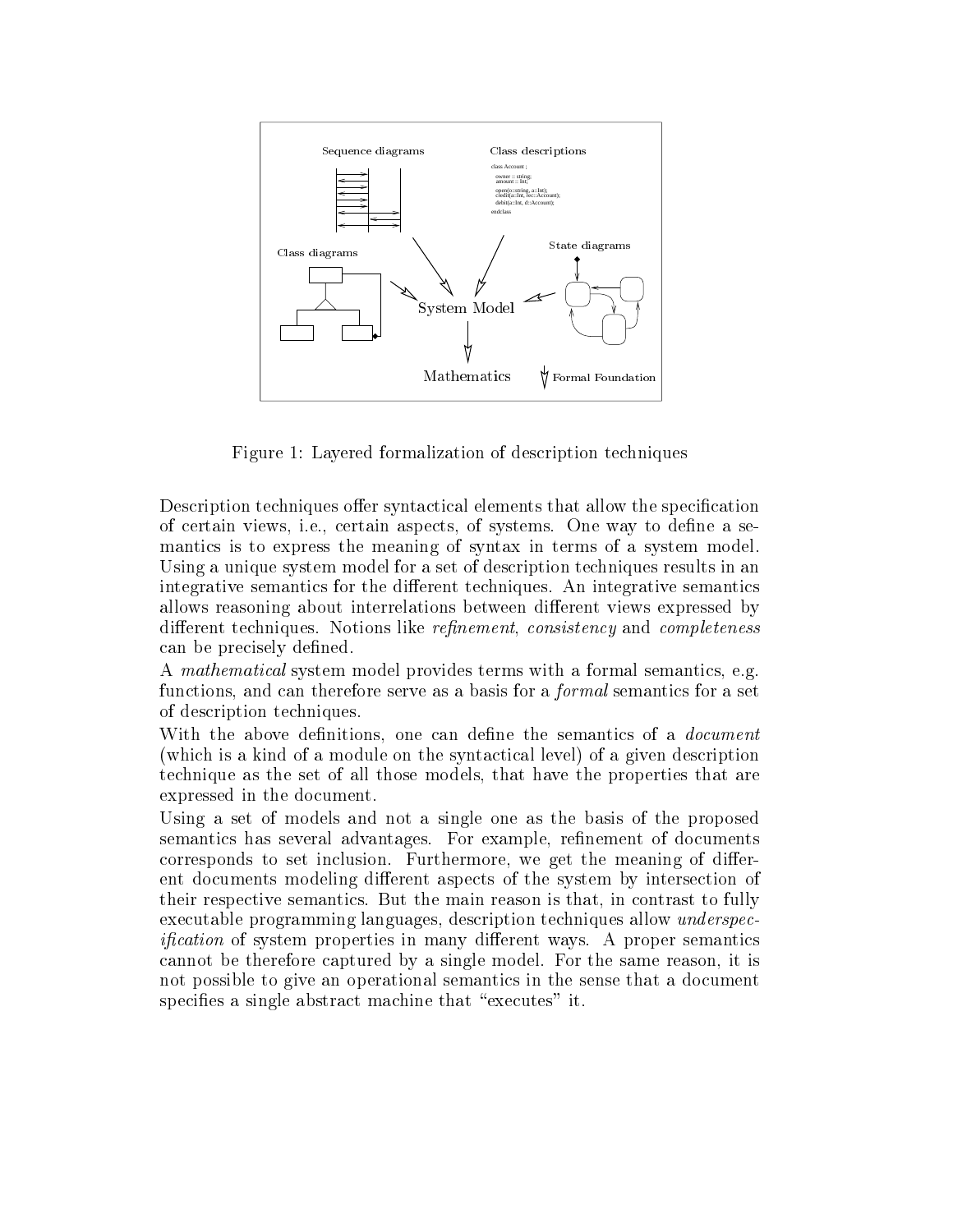

Figure 1: Layered formalization of description techniques

Description techniques offer syntactical elements that allow the specification of certain views- ie- certain aspects- of systems One way to dene a se mantics is to express the meaning of syntax in terms of a system model Using a unique system model for a set of description techniques results in an integrative semantics for the different techniques. An integrative semantics allows reasoning about interrelations between different views expressed by die erent techniques als die eren die stellt in die eerste van die eerste gewone van die eerste van die eerste can be precisely defined.

 $\mathbb{R}$  mathematical system model provides terms with a formal semantics-formal semantics-formal semantics-formal semantics-formal semantics-formal semantics-formal semantics-formal semantics-formal semantics-formal sema functions- and can therefore serve as a basis for a formal semantics for a set of description techniques

with the above densities of a document of a document of a document of a document of a document of a document o (which is a kind of a module on the syntactical level) of a given description technique as the set of all those models- that have the properties that are expressed in the document

Using a set of models and not a single one as the basis of the proposed semantics has seen advantages  $\mathbf{f}$  and  $\mathbf{f}$  and  $\mathbf{f}$  and  $\mathbf{f}$  and  $\mathbf{f}$  and  $\mathbf{f}$  and  $\mathbf{f}$ corresponds to set inclusions inclusions to a get the meaning to discuss the meaning of discussions of the meaning of  $\alpha$ ent documents modeling different aspects of the system by intersection of their respective semantics But the main reason is that- in contrast to fully executable programming languages-languages-complexed allow underspect allow under the contract of programming  $i\text{fication}$  of system properties in many different ways. A proper semantics cannot be therefore captured by a single model For the same reason- it is not possible to give an operational semantics in the sense that a document specifies a single abstract machine that "executes" it.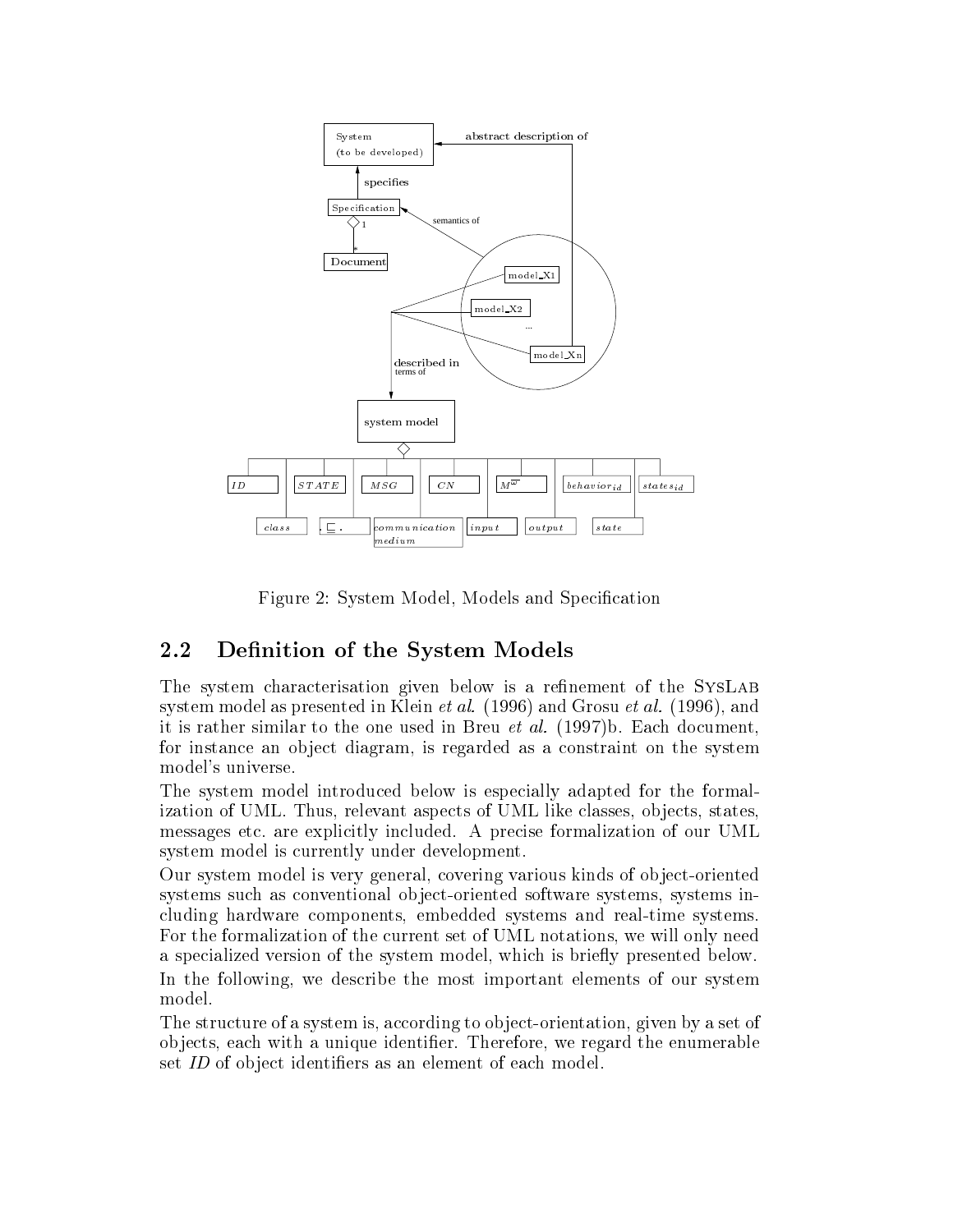

Figure System Model- Models and Specication

## 2.2 Definition of the System Models

The system characterisation given below is a refinement of the SYSLAB system model as presented in the contract of all  $\mathcal{A}$  , and all the al-al-al-al-al-al-al-al-al-al-al-al-alit is rather similar to the one used in Breune used in Breune used in Breune used in Breune used in  $\mathbf{I}$ for instance an object diagram- is regarded as a constraint on the system model's universe.

The system model introduced below is especially adapted for the formal ization of UML Thus- relevant aspects of UML like classes- objects- statesmessages etc are explicitly included A precise formalization of our UML system model is currently under development.

Our system model is very general- covering various kinds of objectoriented systems such asconventional ob jectoriented software systems- systems in cluding hardware components-systems and realtime systems and realtime systems and realtime systems and realtim For the formalization of the current set of UML notations- we will only need a specialized version of the system model- which is briey presented below In the following-the most important elements of our system  $\mathcal{V}$ model

The structure of a system is system is system in the system is a set of a set of  $\alpha$ ob jects-i each with a unique identifier the entrepresent the engineer the enumerable the enumerable set ID of object identifiers as an element of each model.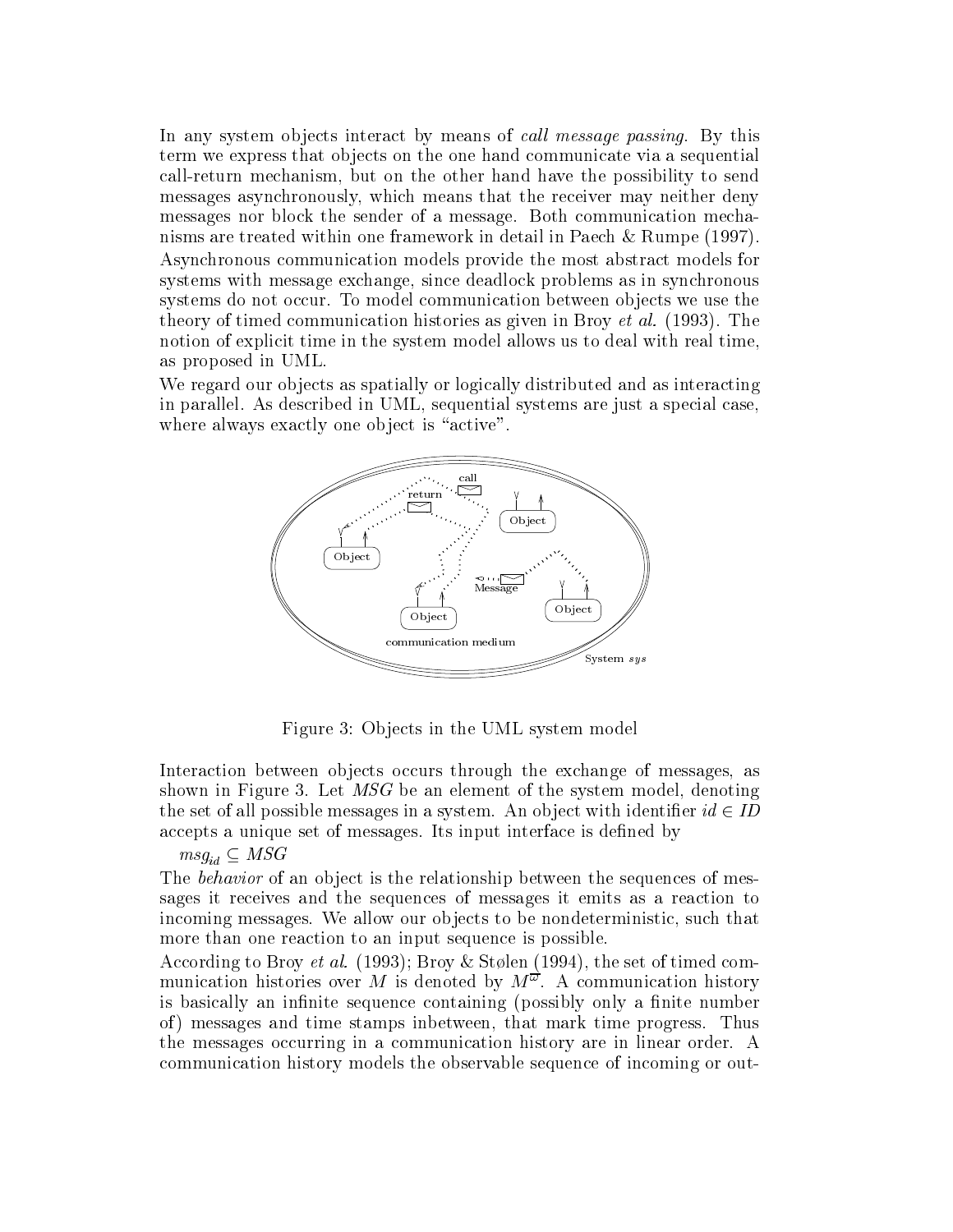In any system objects interact by means of *call message passing*. By this term we express that objects on the one hand communicate via a sequential called the other mechanism-state in the called the possibility the other hand hand hand the possibility to send messages asynchronously- which means that the receiver may neither deny messages nor block the sender of a message. Both communication mechanisms are treated within one framework in detail in the framework in Paech  $\mu$  is the set  $\mu$ Asynchronous communication models provide the most abstract models for systems with message exchange- since deadlock problems as in synchronous systems do not occur. To model communication between objects we use the theory of times a communication for the section as  $\Delta$ -theory et al-theory et al-theory et al-theory et al-theory notion of explicit time in the system model allows us to deal with real time, as proposed in UML

We regard our objects as spatially or logically distributed and as interacting in parallel Is described in UML-sequential systems are just and parallel cases in Section where always exactly one object is "active".



Figure 3: Objects in the UML system model

Interaction between objects of  $\mathcal{U}$ shown in Figure . Compared the system model-system model-system model-system model-system modelthe set of all possible messages in a system. An object with identifier  $id \in ID$ accepts a unique set of messages. Its input interface is defined by

 $ma = \cdots$ 

The *behavior* of an object is the relationship between the sequences of messages it receives and the sequences of messages it emits as a reaction to incoming messages We allow our ob jects to be nondeterministic- such that more than one reaction to an input sequence is possible.

. According to Brown the set of time the set of time and the set of time and timed complex to the set of timed munication histories over  $M$  is denoted by  $M^+$ . A communication history is basically an infinite sequence containing (possibly only a finite number of messages and time stamps inbetween- that mark time progress Thus the messages occurring in a communication history are in linear order A communication history models the observable sequence of incoming or out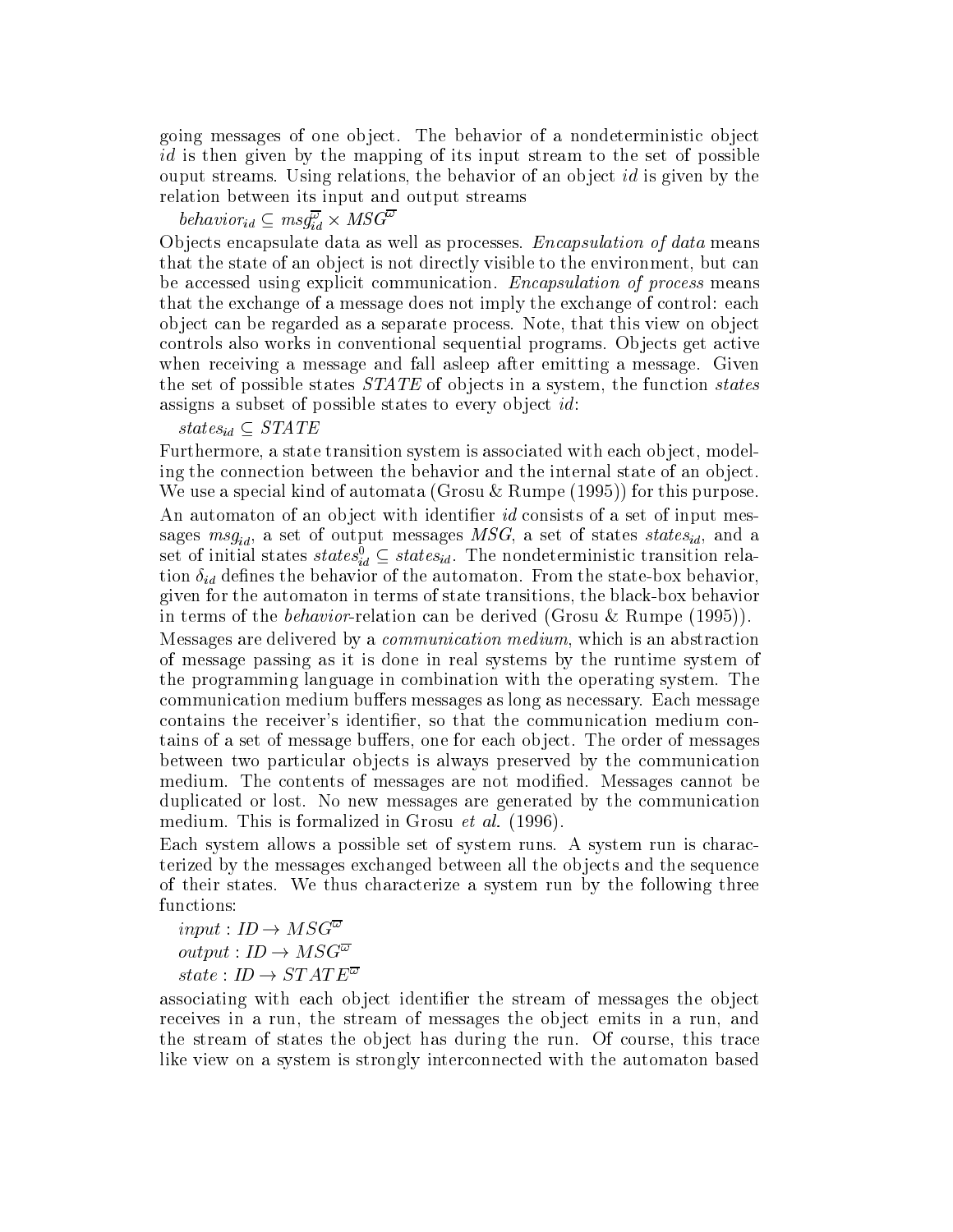going messages of one object. The behavior of a nondeterministic object id is then given by the mapping of its input stream to the set of possible oupses the behavior Using relationships the behavior of the behavior of  $\pi$  ,  $\pi$  is given by the boundary of relation between its input and output streams

# $\textit{benavor}_{id} \subseteq \textit{msg}_{id}^{\omega} \times \textit{MSG}^{\omega}$

Objects encapsulate data as well as processes. Encapsulation of data means that the state of an object is not directly visible to the environmental to the environment of  $\mathbb{R}^n$ be accessed using explicit communication. Encapsulation of process means that the exchange of a message does not imply the exchange of control: each ob ject can be regarded as a separate process note-that the separate  $\sim$ controls also works in conventional sequential programs Objects get active when receiving a message and fall asleep after emitting a message. Given the set of possible states STATE of ob jects in a system- the function states assigns a subset of possible states to every object  $id$ :

 $\cdots$   $\cdots$   $\cdots$   $\cdots$   $\cdots$   $\cdots$   $\cdots$   $\cdots$   $\cdots$   $\cdots$   $\cdots$   $\cdots$   $\cdots$   $\cdots$ 

- a state transition system is associated with each observation to the system with providence and the contract ing the connection between the behavior and the internal state of an object where  $\alpha$  is purposed of an indicate and the special function  $\alpha$  and  $\alpha$  are  $\beta$  , and  $\beta$  are  $\beta$  and  $\beta$ An automaton of an object with identifier id consists of a set of input messages msgid- a set of output messages MSG- a set of states statesid- and a set of initial states  $state_{id} \subseteq states_{id}$ . The nondeterministic transition relaition - in alternation that is then the automaton from the state from the state is the state of the state  $\tau$ given for the automaton in terms of states of states the state transitions- the blackbox behaviorsin terms of the behaviorrelation can be derived Grosu Rumpe

Messages are delivered by a communication medium- which is an abstraction of message passing as it is done in real systems by the runtime system of the programming language in combination with the operating system The communication medium buffers messages as long as necessary. Each message contains the receivers in the communication communication medium contains the communication of the communication tains of a set of message buers- one for each ob ject The order of messages between two particular ob jects is always preserved by the communication medium. The contents of messages are not modified. Messages cannot be duplicated or lost. No new messages are generated by the communication medium This is formalized in Grosu et al-

Each system allows a possible set of system runs. A system run is characterized by the messages exchanged between all the objects and the sequence of their states We thus characterize a system run by the following three functions

 $input: ID \rightarrow MSG^{\overline{\omega}}$  $output: ID \rightarrow MSG^{\overline{\omega}}$  $state: ID \rightarrow STATE^{\overline{\omega}}$ 

associating with each object identifier the stream of messages the object receives in a run- the stream of messages the ob ject emits in a run- and the stream of states the ob ject has during the run Of course- this trace like view on a system is strongly interconnected with the automaton based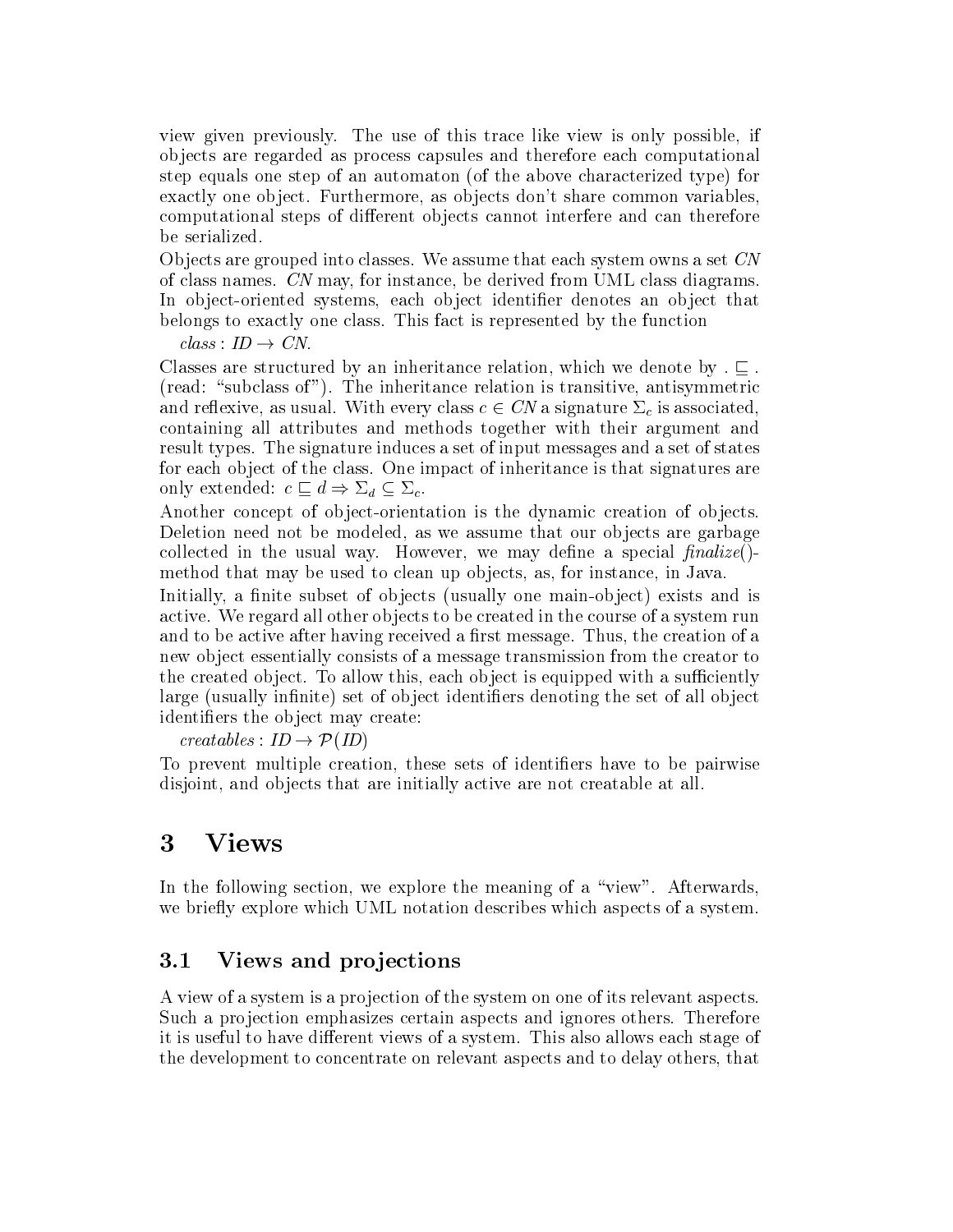view given previously The use of this trace like view is only possible- if ob jects are regarded as process capsules and therefore each computational step equals one step of an automaton (of the above characterized type) for exactly one object Furthermore- as ob jects dont share common variablescomputational steps of different objects cannot interfere and can therefore be serialized

Objects are grouped into classes. We assume that each system owns a set CN of class names CN may- for instance- be derived from UML class diagrams en object in objection systems in object in object that in order and object the control of  $\mathcal{E}$ belongs to exactly one class. This fact is represented by the function

 $class: ID \rightarrow CN.$ 

Classes are structured by an inheritance relation- which we denote by <sup>v</sup> read subclass of The inheritance relation is transitive- antisymmetric and restaurations are usual With every class computer of the computer computer computer class computer of containing allattributes and methods together with their argument and result types. The signature induces a set of input messages and a set of states for each object of the class. One impact of inheritance is that signatures are only extended c  $\equiv$  c  $\rightarrow$  and  $\equiv$   $\equiv$  c  $\sim$ 

Another concept of object-orientation is the dynamic creation of objects. Deletion need not be modeled- as we assume that our ob jects are garbage collected in the usual way However-Collected in the special national products  $\mathcal{H}$ method that may be used to clean up objects- as- for instance- in Java

Initially- a nite subset of objects usually one mainob ject exists and is active. We regard all other objects to be created in the course of a system run and the active after having received a received  $\lambda$  received a ratio of a ratio of a ratio of a ratio of a ra new ob ject essentially consists of a message transmission from the creator to the created observed ob ject To allow the created observed with a such a such a such a such a such a such a su large (usually infinite) set of object identifiers denoting the set of all object identifiers the object may create:

creatables :  $ID \rightarrow \mathcal{P}(ID)$ 

To prevent multiple creation- these sets of identiers have to be pairwise disjoint- and ob jects that are initially active are not creatable at all

## 3  $\bf{V}$ iews

in the following section- in the meaning of a view of a view of a view of a view of a view of a view of a view we briefly explore which UML notation describes which aspects of a system.

#### $3.1\,$ Views and projections

A view of a system is a projection of the system on one of its relevant aspects Such a projection emphasizes certain aspects and ignores others. Therefore it is useful to have different views of a system. This also allows each stage of the development to concentrate on relevant aspects and to delay others- that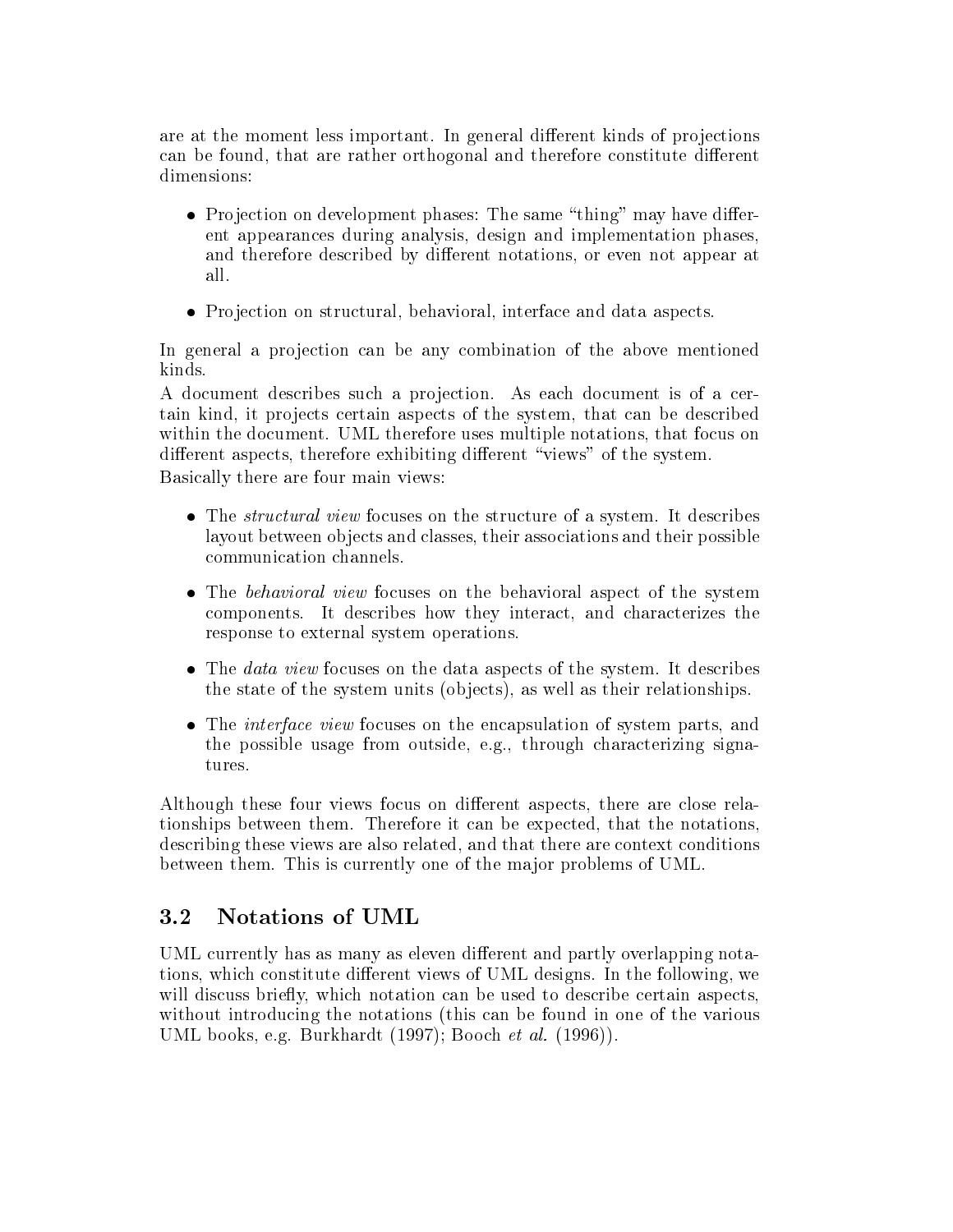are at the moment less important. In general different kinds of projections can be found- that are rather orthogonal and therefore constitute dierent

- Projection on development phases: The same "thing" may have different appearances during analysis- design and implementation phasesand therefore described by dimensional notations-compared by displayers at  $\alpha$ all.
- . Pro jection on structural-distribution on structural-distribution and data aspects and data aspects.

In general a projection can be any combination of the above mentioned kinds.

A document describes such a projection. As each document is of a certain that it property as a can be described as the system- of the system of the system- of the system of the s with the document UML the document UML therefore uses multiple notations-between  $\mathbf{F}$ die erent as pects in the system of the system of the system of the system of the system of the system of the s Basically there are four main views

- The *structural view* focuses on the structure of a system. It describes layout between ob jects and classes- their associations and their possible communication channels
- The *behavioral view* focuses on the behavioral aspect of the system components it describes in the characterizes they interest the characterizes they interacte response to external system operations
- The *data view* focuses on the data aspects of the system. It describes the state of the system units objects-below  $\mathbf{I}$  . The system units objects-below  $\mathbf{I}$  relationships objects-
- The interface view focuses on the encapsulation of system parts- and the possible using from outside-the-characterizing signals signal signals signal signals are provided as a signal of

Although these four views focus on dierent aspects- there are close rela tionships between them Therefore it can be expected- that the notations- $\mathbf{A}$ between them. This is currently one of the major problems of UML.

## 3.2 Notations of UML

UML currently has as many as eleven different and partly overlapping notations-weight constitute different views  $\mathcal{U}$  UML designs In the following-weight constraints in the following-weight constraints in the following-weight constraints in the following-weight constraints in the following will discuss brief-discuss brief-discuss brief-discuss brief-discuss brief-discuss brief-discuss brief-discuss without introducing the notations (this can be found in one of the various  $\blacksquare$  books-books-books-books-books-books-books-books-books-books-books-books-books-books-books-books-books-books-books-books-books-books-books-books-books-books-books-books-books-books-books-books-books-books-books-book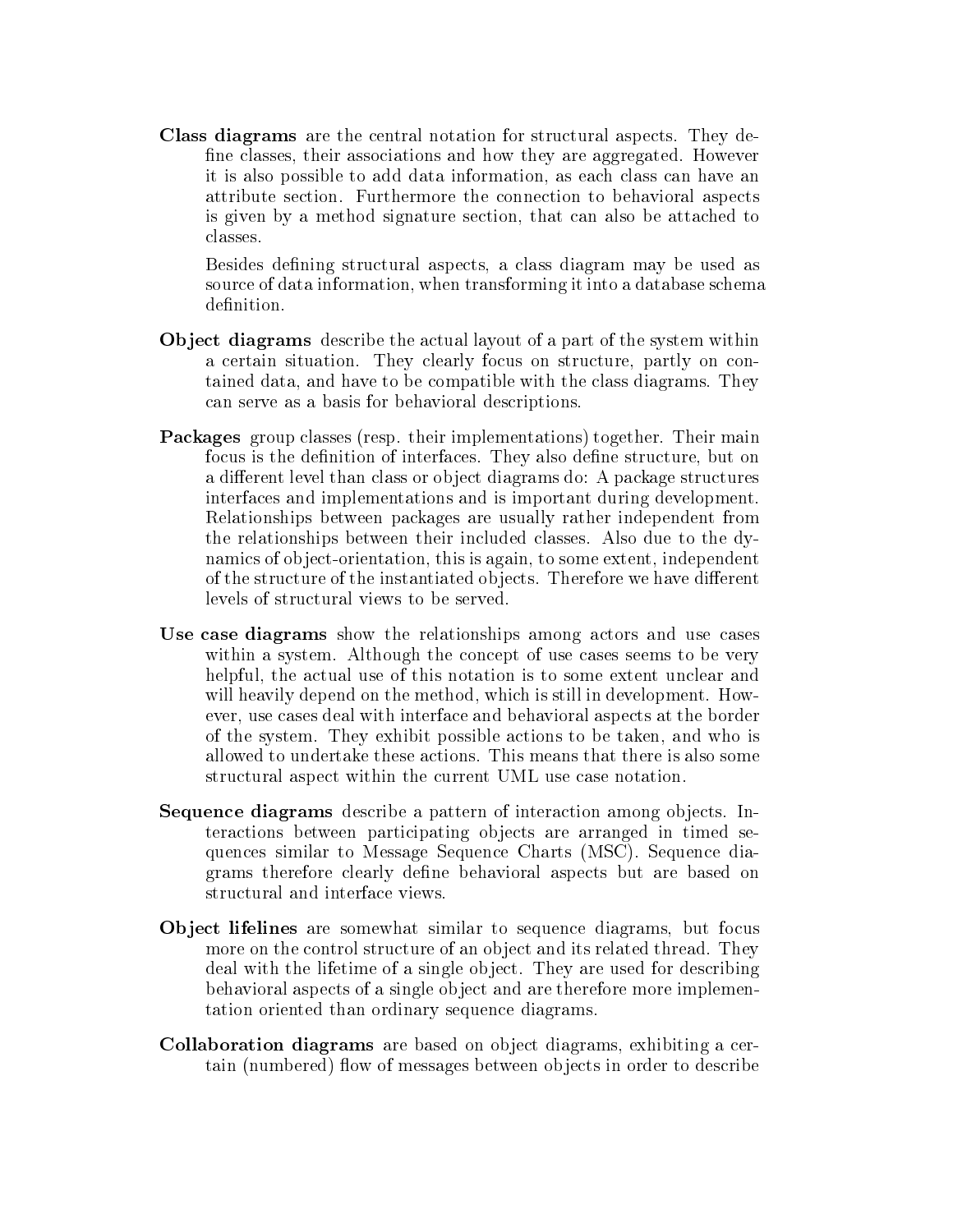Class diagrams are the central notation for structural aspects They de ne classes in the classes and how the most and how they are a model of the second the contract of the contract of the contract of the contract of the contract of the contract of the contract of the contract of the contract it is also possible to add data informationattribute section Furthermore the connection to behavioral aspects is given by a method signature section- that can also be attached to

 $\blacksquare$  structure diagram may be used as class diagram may be used as  $\blacksquare$ source of database of database schematic information-database schematic into a database schematic into a datab definition.

- Ob ject diagrams describe the actual layout of a part of the system within a certain situation They clearly focus on structure- partly on con tained data-bay the distribution of the compatible with the compatible with the compatible with  $\mathcal{L}$ can serve as a basis for behavioral descriptions
- **Packages** group classes (resp. their implementations) together. Their main focus is the denition of interfaces They also dene structure- but on a different level than class or object diagrams do: A package structures interfaces and implementations and is important during development Relationships between packages are usually rather independent from the relationships between their included classes. Also due to the dynamics of ob jectorientation- this is again- to some extent- independent of the structure of the instantiated objects. Therefore we have different levels of structural views to be served
- Use case diagrams show the relationships among actors and use cases within a system. Although the concept of use cases seems to be very helpful- the actual use of this notation is to some extent unclear and will heavily depend on the method-will heavily depend on the method-will include the method-will include the methodever, with this cases deal with interface and behavioral aspects at the border of the border of the border of of the system They exhibit possible actions to be the takenallowed to undertake these actions. This means that there is also some structural aspect within the current UML use case notation
- Sequence diagrams describe a pattern of interaction among objects In teractions between participating ob jects are arranged in timed se quences similar to Message Sequence Charts (MSC). Sequence diagrams therefore clearly define behavioral aspects but are based on structural and interface views.
- Ob ject lifelines are somewhat similar to sequence diagrams- but focus more on the control structure of an object and its related thread. They deal with the lifetime of a single object. They are used for describing behavioral aspects of a single ob ject and are therefore more implemen tation oriented than ordinary sequence diagrams
- Collaboration diagrams are based on ob ject diagrams- exhibiting a cer tain (numbered) flow of messages between objects in order to describe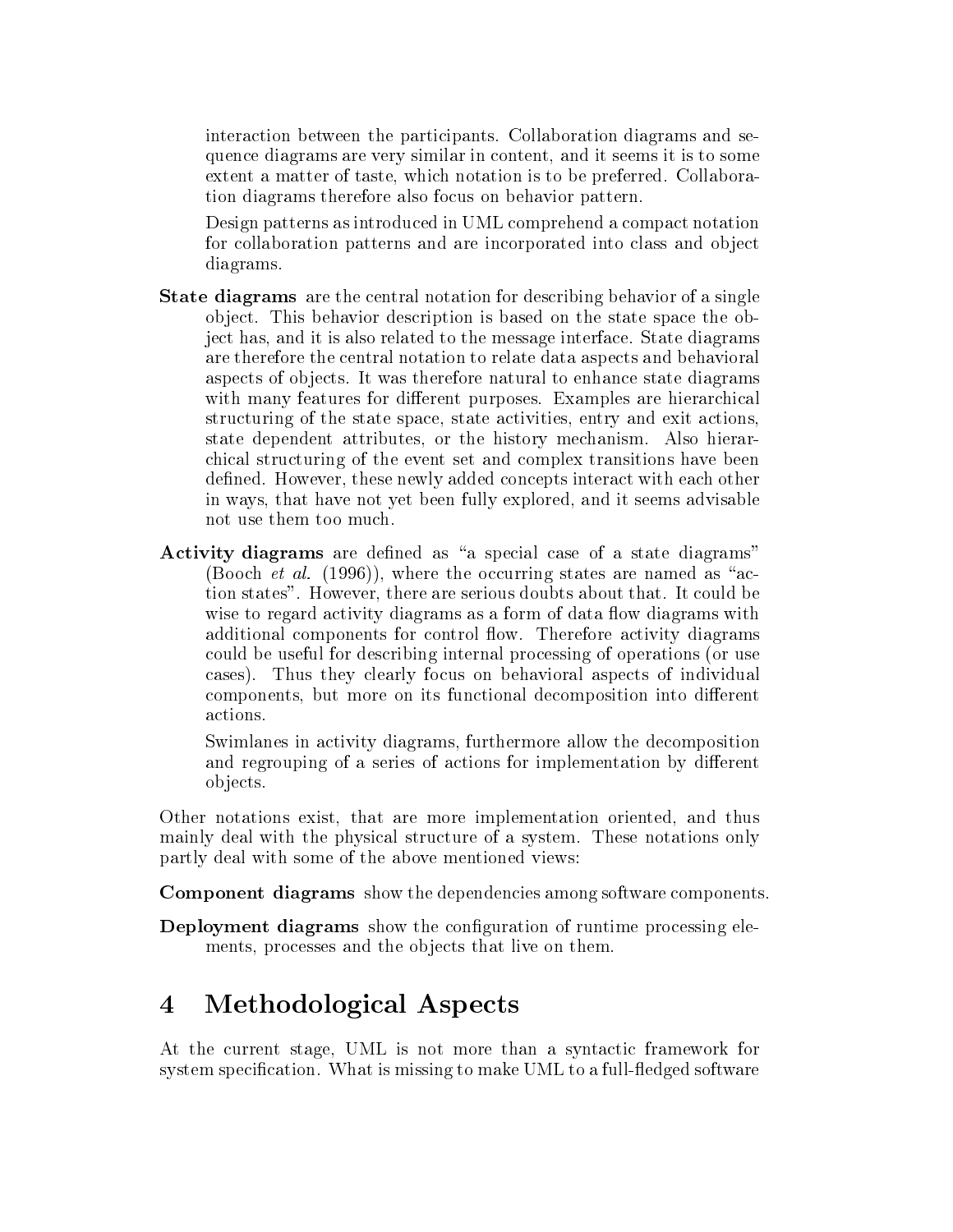interaction between the participants. Collaboration diagrams and sequence diagrams are very similar in content- in content of the second second in the second term in the second extent a matter of the preferred motivation is to be preferred Commodern tion diagrams therefore also focus on behavior pattern

Design patterns as introduced in UML comprehend a compact notation for collaboration patterns and are incorporated into class and ob ject diagrams

- State diagrams are the central notation for describing behavior of a single object. This behavior description is based on the state space the object has- and it is also related to the message interface State diagrams are therefore the central notation to relate data aspects and behavioral aspects of objects. It was therefore natural to enhance state diagrams with many features for different purposes. Examples are hierarchical structure activities- state space- in state state state space- state activitiesstate dependent attributes, or the history mechanism. Also hierarstate dependent attributes or the history mechanism Also hierar chical structuring of the event set and complex transitions have been dened however-these newsless interaction in the second concepts interaction in the concepts interaction of the in ways- that have not yet been fully explored- and it seems advisable not use them too much
- Activity diagrams are defined as "a special case of a state diagrams"  $\mathbf{B}$ tion states in the state states which are serious doubts and the serious that It could be a state of the state wise to regard activity diagrams as a form of data flow diagrams with additional components for control flow. Therefore activity diagrams could be useful for describing internal processing of operations (or use cases). Thus they clearly focus on behavioral aspects of individual components- but more on its functional decomposition into dierent

Swimlanes in activity diagrams- furthermore allow the decomposition and regrouping of a series of actions for implementation by different objects

Other notations exist- that are more implementation oriented- and thus mainly deal with the physical structure of a system. These notations only partly deal with some of the above mentioned views

Component diagrams show the dependencies among software components

Deployment diagrams show the configuration of runtime processing elements- processes and the objects that live on them

## Methodological Aspects 4

 $\mathcal{U}$  the current stage-dimension stage-dimension for more than a syntactic framework for  $\mathcal{U}$ system specification. What is missing to make UML to a full-fledged software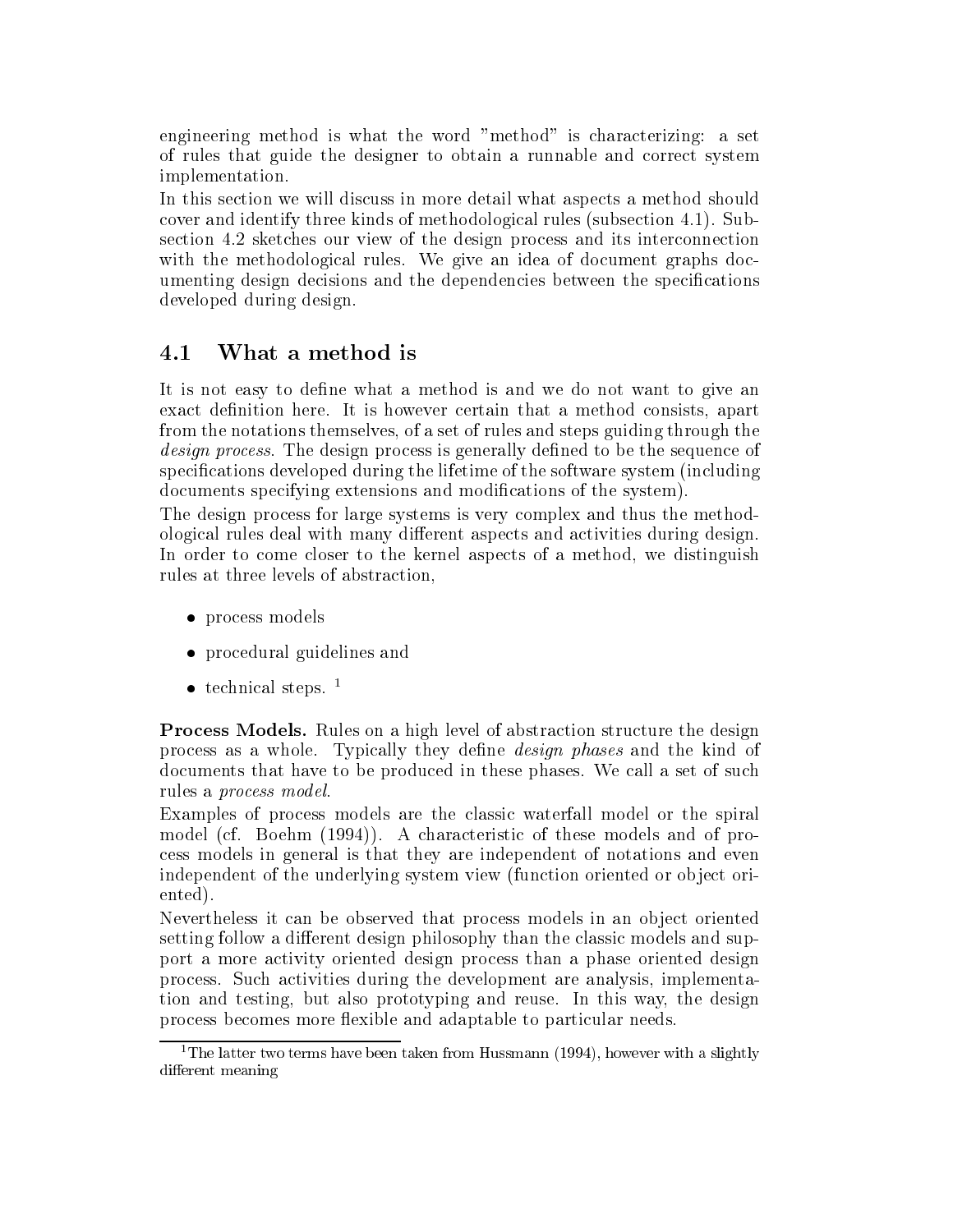engineering method is what the word "method" is characterizing: a set of rules that guide the designer to obtain a runnable and correct system implementation

In this section we will discuss in more detail what aspects a method should cover and identify three kinds of methodological rules (subsection  $4.1$ ). Subsection 4.2 sketches our view of the design process and its interconnection with the methodological rules. We give an idea of document graphs documenting design decisions and the dependencies between the specifications developed during design

# $4.1$

It is not easy to define what a method is and we do not want to give an exact denimities it is not in the Italy and a method consistent that a method consistent of  $\mu$  and  $\mu$ from the notations themselves- of a set of rules and steps guiding through the design process. The design process is generally defined to be the sequence of specifications developed during the lifetime of the software system (including documents specifying extensions and modifications of the system).

The design process for large systems is very complex and thus the method ological rules deal with many different aspects and activities during design. In order to come closer to the kernel aspects of a method- we distinguish rules at three levels of abstraction,

- process models
- procedural guidelines and
- $\bullet$  technical steps.  $^1$

<u>rules and deliverse and abstraction structure the design design design design design abstraction structure th</u> process as a whole. Typically they define *design phases* and the kind of documents that have to be produced in these phases. We call a set of such rules a process model

Examples of process models are the classic waterfall model or the spiral model cf  $B$  cf  $B$  cf  $B$  cf  $B$  cf  $B$  cf  $\mathbb{R}$  models and of products and of products and of products and of products and of products and of products and of products and of products and of products and of products a cess models in general is that they are independent of notations and even independent of the underlying system view (function oriented or object oriented).

Nevertheless it can be observed that process models in an object oriented setting follow a different design philosophy than the classic models and support a more activity oriented design process than a phase oriented design process Such activities during the development are analysis- implementa tion and testing- but also prototyping and reuse In this way- the design process becomes more flexible and adaptable to particular needs.

 $\lceil$  1 ne latter two terms have been taken from Hussmann (1994), however with a slightly  $\lceil$ di erent meaning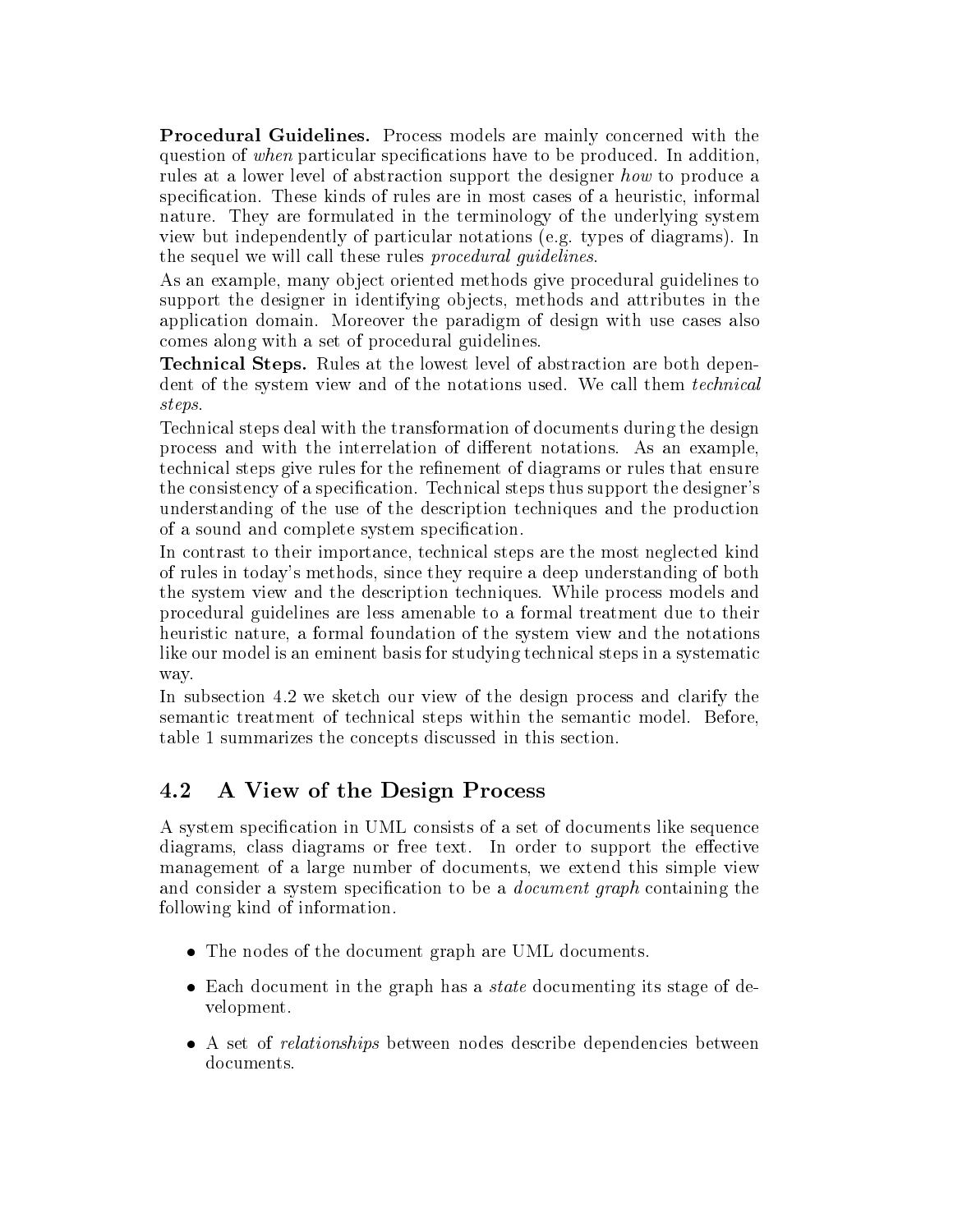Procedural Guidelines- Process models are mainly concerned with the question of when particular specifications have to be produced. In addition, rules at a lower level of abstraction support the designer how to produce a specication These kinds of rules are in most cases of a heuristic- informal nature. They are formulated in the terminology of the underlying system view but independently of particular notations (e.g. types of diagrams). In the sequel we will call these rules *procedural guidelines*.

As an example- many object oriented methods give procedural guidelines to support the designer in identifying objects, and attributes in the attributes in the second application domain Moreover the paradigm of design with use cases also comes along with a set of procedural guidelines

Technical Steps- Rules at the lowest level of abstraction are both depen dent of the system view and of the notations used. We call them technical steps

Technical steps deal with the transformation of documents during the design process and with the interrelation of different notations. As an example, technical steps give rules for the refinement of diagrams or rules that ensure the consistency of a specification. Technical steps thus support the designer's understanding of the use of the description techniques and the production of a sound and complete system specification.

In contrast to their importance- technical steps are the most neglected kind of rules in the since they require a deep understanding of both  $\alpha$  and both  $\alpha$ the system view and the description techniques While process models and procedural guidelines are less amenable to a formal treatment due to their heuristic nature- a formal foundation of the system view and the notations like our model is an eminent basis for studying technical steps in a systematic way

In subsection  $4.2$  we sketch our view of the design process and clarify the semantic treatment of technical steps within the semantic model. Before, table 1 summarizes the concepts discussed in this section.

## 4.2 A View of the Design Process

A system specification in UML consists of a set of documents like sequence diagrams- class diagrams- the free text in order to support the extent the extent of the extension of the extension of the extension of the extension of the extension of the extension of the extension of the extension of t management of a large number of documents- we extend this simple view and consider a system specification to be a *document graph* containing the following kind of information

- The nodes of the document graph are UML documents.
- Each document in the graph has a *state* documenting its stage of development
- A set of relationships between nodes describe dependencies between documents.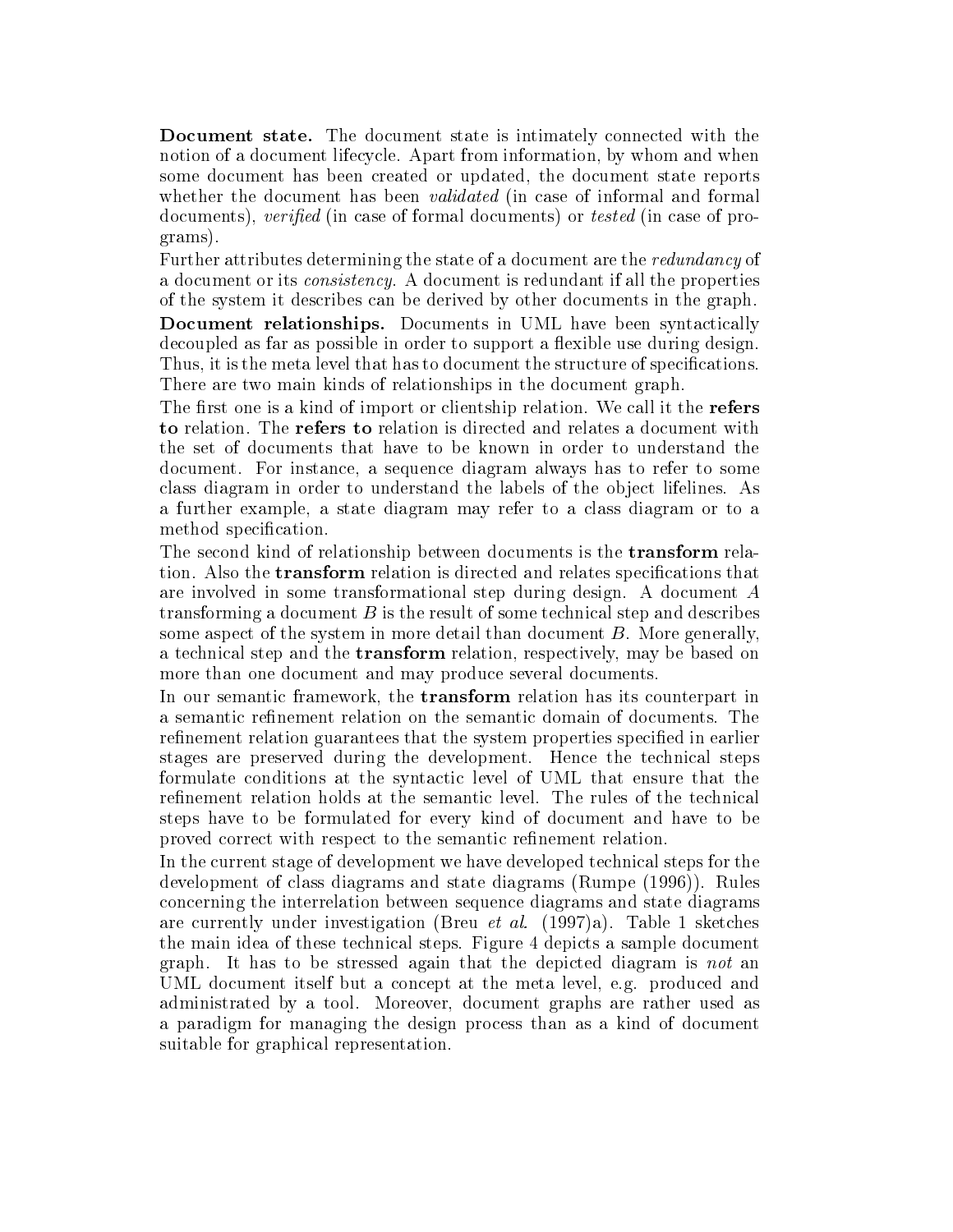$\mathbf{J}$ notion of a document lifecycle Apart from information- by whom and when some document man created-updated-updated-updated-updated-updated-updated-updated-updated-updated-updated-upda whether the document has been *validated* (in case of informal and formal as cases of the case of formal documents of formal documents of the case of the cases of production of the cas grams

Further attributes determining the state of a document are the redundancy of a document or its consistency A document is redundant if all the properties of the system it describes can be derived by other documents in the graph

- Documents-Both relationships- In UML have been syntactic in UML have been syntactic in UML have been syntactically decoupled as far as possible in order to support a flexible use during design. Thus-thus-definition interactions are metallicity in the metallicity of special that has to document the structure of special that has to document the structure of special that has to document the structure of special the There are two main kinds of relationships in the document graph.

The first one is a kind of import or clientship relation. We call it the **refers** to relation. The refers to relation is directed and relates a document with the set of documents that have to be known in order to understand the document For instance- a sequence diagram always made to refer to some class diagram in order to understand the labels of the object lifelines As a further example-diagram may refer to a class diagram may refer to a class diagram may refer to a class diagram or to a class diagram or to a class diagram or to a class diagram or to a class diagram or to a class diagra method specification.

The second kind of relationship between documents is the transform rela tion. Also the **transform** relation is directed and relates specifications that are involved in some transformational step during design. A document  $A$ transforming a document  $B$  is the result of some technical step and describes some aspect of the system in more detail than document  $B$ . More generally, a technical step and the transform relation- respectively- may be based on more than one document and may produce several documents.

in a the transform relation transformation and the transformation framework its counterpart in the counterpart a semantic refinement relation on the semantic domain of documents. The refinement relation guarantees that the system properties specified in earlier stages are preserved during the development. Hence the technical steps formulate conditions at the syntactic level of UML that ensure that the refinement relation holds at the semantic level. The rules of the technical steps have to be formulated for every kind of document and have to be proved correct with respect to the semantic refinement relation.

In the current stage of development we have developed technical steps for the development of class diagrams and state diagrams and state diagrams and state diagrams and state diagrams and concerning the interrelation between sequence diagrams and state diagrams are currently under investigation breu et al-al-al-al-al-al-al-al-al-al-al-al-althe main idea of these technical steps. Figure 4 depicts a sample document graph. It has to be stressed again that the depicted diagram is not an UML document itself but a concept at the metallicity of  $\mathcal{A}^*$  produced and  $\mathcal{A}^*$ administrated by a tool Moreover-More  $\alpha$  tool More rather used as  $\alpha$ a paradigm for managing the design process than as a kind of document suitable for graphical representation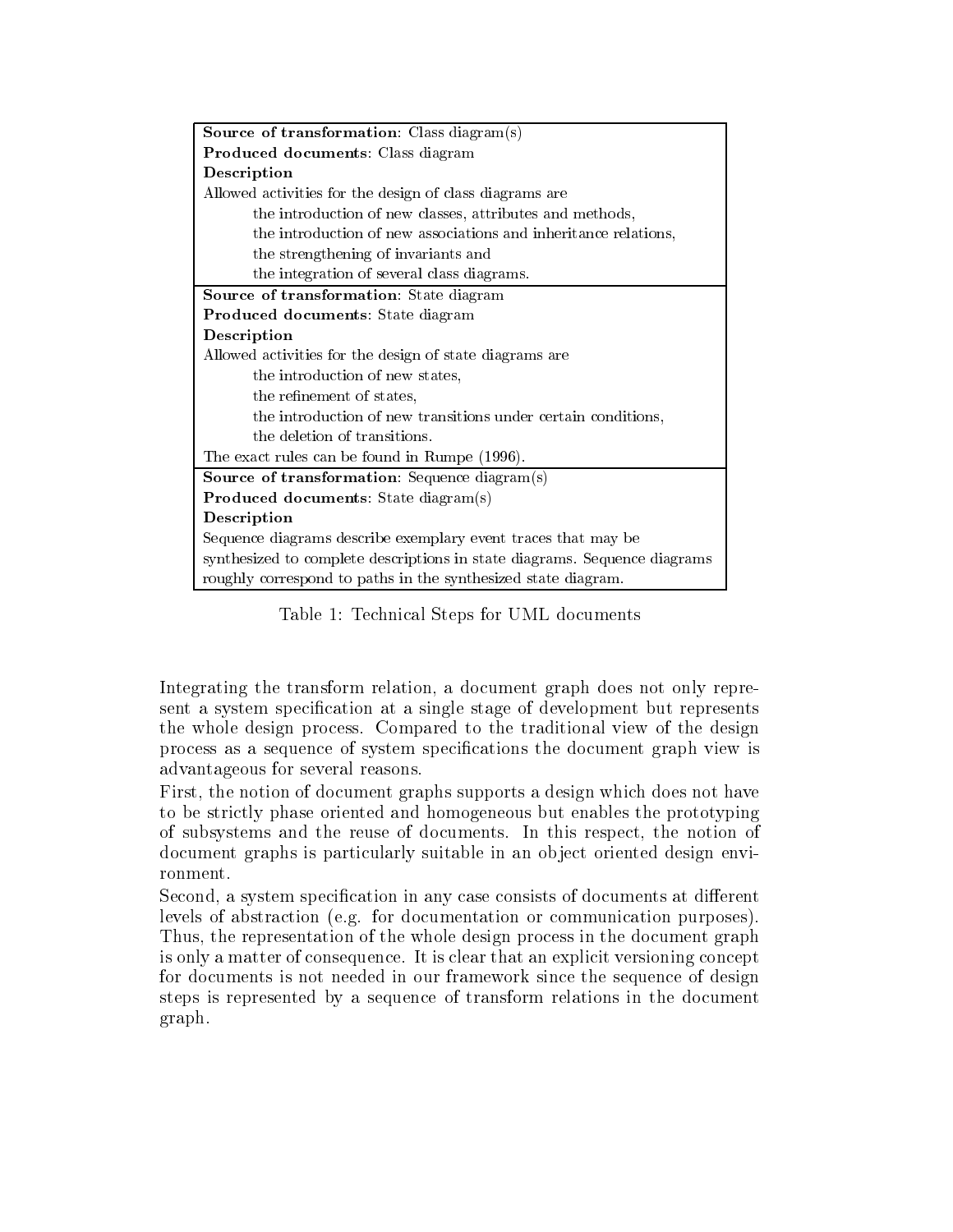| <b>Source of transformation:</b> Class diagram(s)                         |
|---------------------------------------------------------------------------|
| Produced documents: Class diagram                                         |
| Description                                                               |
| Allowed activities for the design of class diagrams are                   |
| the introduction of new classes, attributes and methods,                  |
| the introduction of new associations and inheritance relations,           |
| the strengthening of invariants and                                       |
| the integration of several class diagrams.                                |
| <b>Source of transformation:</b> State diagram                            |
| Produced documents: State diagram                                         |
| Description                                                               |
| Allowed activities for the design of state diagrams are                   |
| the introduction of new states,                                           |
| the refinement of states,                                                 |
| the introduction of new transitions under certain conditions,             |
| the deletion of transitions.                                              |
| The exact rules can be found in Rumpe (1996).                             |
| <b>Source of transformation:</b> Sequence diagram(s)                      |
| <b>Produced documents:</b> State diagram(s)                               |
| Description                                                               |
| Sequence diagrams describe exemplary event traces that may be             |
| synthesized to complete descriptions in state diagrams. Sequence diagrams |
| roughly correspond to paths in the synthesized state diagram.             |

Table 1: Technical Steps for UML documents

Integrating the transform relation- a document graph does not only repre sent a system specification at a single stage of development but represents the whole design process. Compared to the traditional view of the design process as a sequence of system specifications the document graph view is advantageous for several reasons

First- the notion of document graphs supports a design which does not have to be strictly phase oriented and homogeneous but enables the prototyping of subsystems and the reuse of documents In this respect- the notion of document graphs is particularly suitable in an object oriented design environment

system species specific the system specific of document and distinct of documents at distinct at distinct at d levels of abstraction (e.g. for documentation or communication purposes). the representation of the whole design process in the document graphs of the contract design  $\sim$ is only a matter of consequence It is clear that an explicit versioning concept for documents is not needed in our framework since the sequence of design steps is represented by a sequence of transform relations in the document graph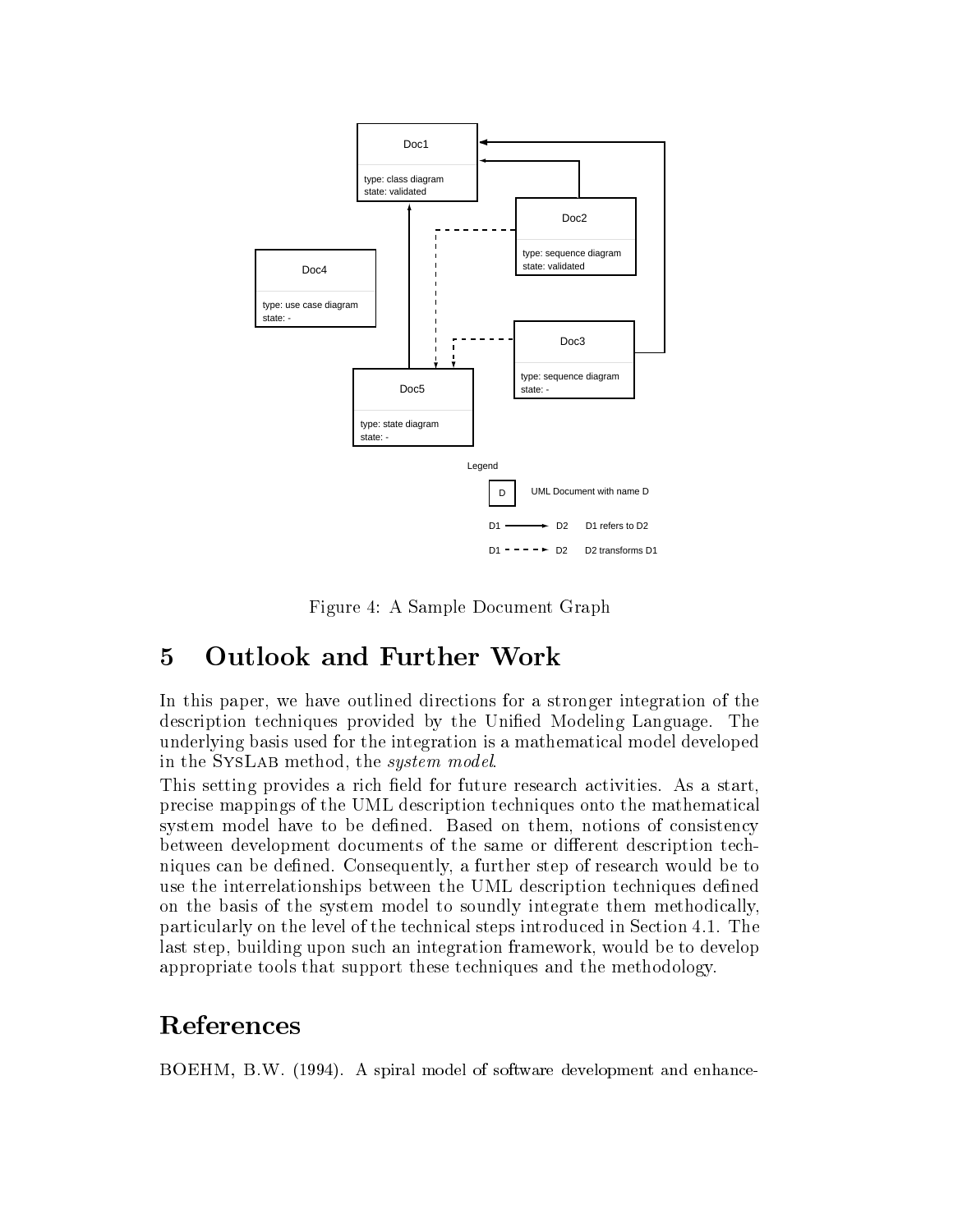

Figure 4: A Sample Document Graph

## $\overline{5}$ **Outlook and Further Work**

In this paper- we have outlined directions for a stronger integration of the description techniques provided by the Unified Modeling Language. The underlying basis used for the integration is a mathematical model developed in the System model in the system model is a system of the system of the system of the system of the system of

This setting provides a rich field for future research activities. As a start, precise mappings of the UML description techniques onto the mathematical system model have to be dened Based on them- notions of consistency between development documents of the same or different description tech-..., a further step of the further step of research would be to the top of research would be to to to to to to use the interrelationships between the UML description techniques defined on the basis of the system model to soundly integrate them methodicallyparticularly on the level of the technical steps introduced in Section 4.1. The last step- building upon such an integration framework- would be to develop appropriate tools that support these techniques and the methodology

# References

 $\mathbf B = \mathbf B$  spiral model of software development and enhancement and enhancement and enhancement and enhancement and enhancement and enhancement and enhancement and enhancement and enhancement and enhancement and enhancem